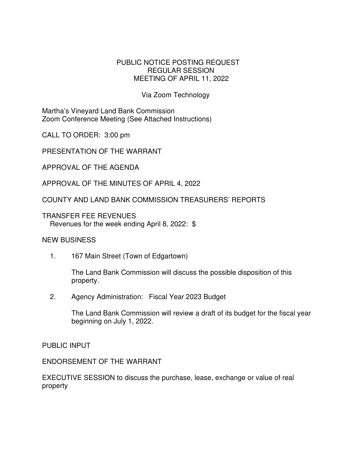## PUBLIC NOTICE POSTING REQUEST REGULAR SESSION MEETING OF APRIL 11, 2022

## Via Zoom Technology

Martha's Vineyard Land Bank Commission Zoom Conference Meeting (See Attached Instructions)

CALL TO ORDER: 3:00 pm

PRESENTATION OF THE WARRANT

APPROVAL OF THE AGENDA

APPROVAL OF THE MINUTES OF APRIL 4, 2022

COUNTY AND LAND BANK COMMISSION TREASURERS' REPORTS

TRANSFER FEE REVENUES Revenues for the week ending April 8, 2022: \$

## NEW BUSINESS

1. 167 Main Street (Town of Edgartown)

The Land Bank Commission will discuss the possible disposition of this property.

2. Agency Administration: Fiscal Year 2023 Budget

The Land Bank Commission will review a draft of its budget for the fiscal year beginning on July 1, 2022.

PUBLIC INPUT

ENDORSEMENT OF THE WARRANT

EXECUTIVE SESSION to discuss the purchase, lease, exchange or value of real property